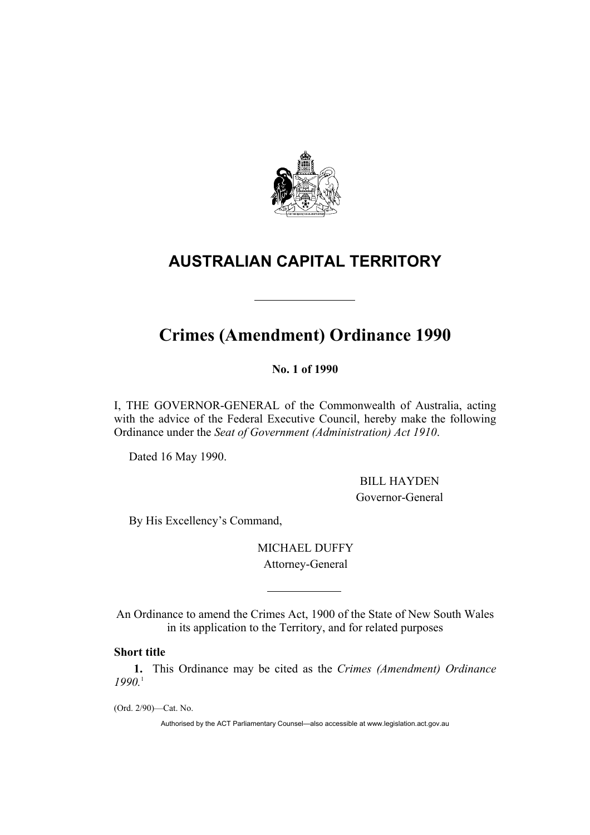

## **AUSTRALIAN CAPITAL TERRITORY**

# **Crimes (Amendment) Ordinance 1990**

**No. 1 of 1990** 

I, THE GOVERNOR-GENERAL of the Commonwealth of Australia, acting with the advice of the Federal Executive Council, hereby make the following Ordinance under the *Seat of Government (Administration) Act 1910*.

Dated 16 May 1990.

 BILL HAYDEN Governor-General

By His Excellency's Command,

MICHAEL DUFFY Attorney-General

An Ordinance to amend the Crimes Act, 1900 of the State of New South Wales in its application to the Territory, and for related purposes

## **Short title**

**1.** This Ordinance may be cited as the *Crimes (Amendment) Ordinance 1990.*1

(Ord. 2/90)—Cat. No.

Authorised by the ACT Parliamentary Counsel—also accessible at www.legislation.act.gov.au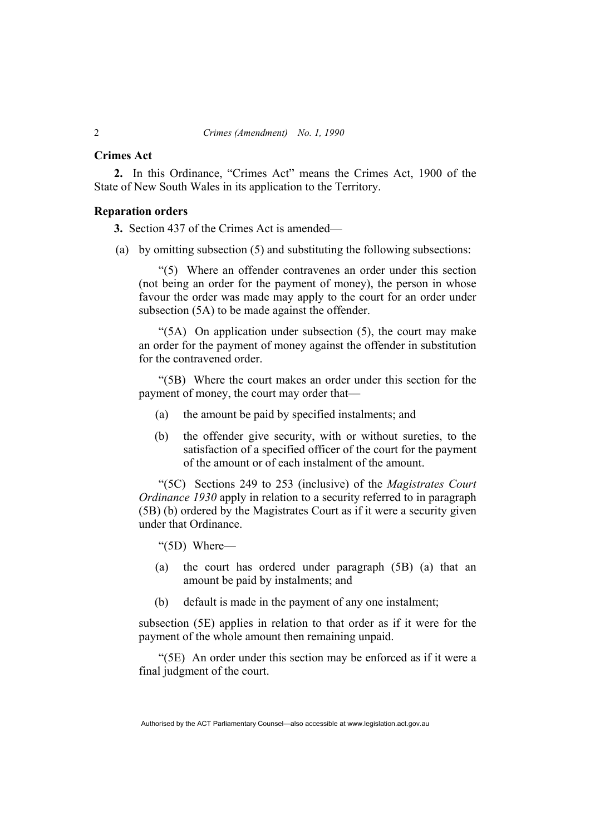#### **Crimes Act**

**2.** In this Ordinance, "Crimes Act" means the Crimes Act, 1900 of the State of New South Wales in its application to the Territory.

## **Reparation orders**

**3.** Section 437 of the Crimes Act is amended—

(a) by omitting subsection (5) and substituting the following subsections:

"(5) Where an offender contravenes an order under this section (not being an order for the payment of money), the person in whose favour the order was made may apply to the court for an order under subsection (5A) to be made against the offender.

"(5A) On application under subsection (5), the court may make an order for the payment of money against the offender in substitution for the contravened order.

"(5B) Where the court makes an order under this section for the payment of money, the court may order that—

- (a) the amount be paid by specified instalments; and
- (b) the offender give security, with or without sureties, to the satisfaction of a specified officer of the court for the payment of the amount or of each instalment of the amount.

"(5C) Sections 249 to 253 (inclusive) of the *Magistrates Court Ordinance 1930* apply in relation to a security referred to in paragraph (5B) (b) ordered by the Magistrates Court as if it were a security given under that Ordinance.

"(5D) Where—

- (a) the court has ordered under paragraph (5B) (a) that an amount be paid by instalments; and
- (b) default is made in the payment of any one instalment;

subsection (5E) applies in relation to that order as if it were for the payment of the whole amount then remaining unpaid.

"(5E) An order under this section may be enforced as if it were a final judgment of the court.

Authorised by the ACT Parliamentary Counsel—also accessible at www.legislation.act.gov.au